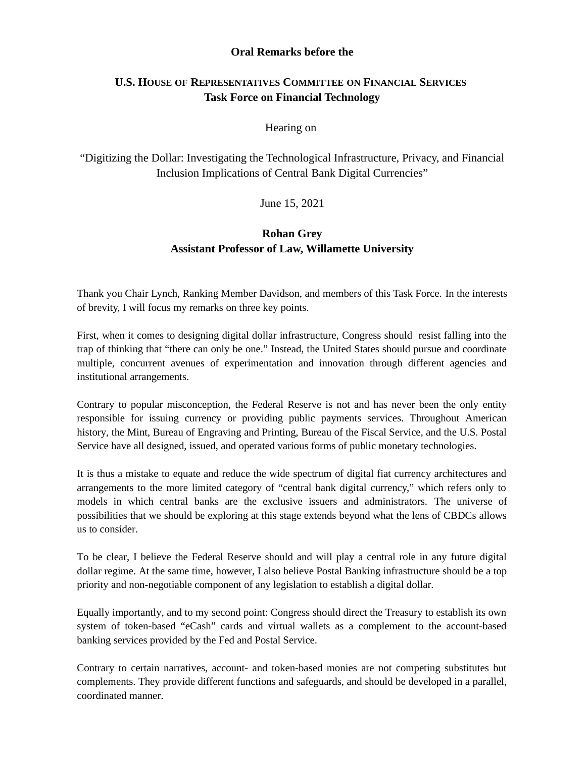### **Oral Remarks before the**

# **U.S. HOUSE OF REPRESENTATIVES COMMITTEE ON FINANCIAL SERVICES Task Force on Financial Technology**

### Hearing on

"Digitizing the Dollar: Investigating the Technological Infrastructure, Privacy, and Financial Inclusion Implications of Central Bank Digital Currencies"

### June 15, 2021

# **Rohan Grey Assistant Professor of Law, Willamette University**

Thank you Chair Lynch, Ranking Member Davidson, and members of this Task Force. In the interests of brevity, I will focus my remarks on three key points.

First, when it comes to designing digital dollar infrastructure, Congress should resist falling into the trap of thinking that "there can only be one." Instead, the United States should pursue and coordinate multiple, concurrent avenues of experimentation and innovation through different agencies and institutional arrangements.

Contrary to popular misconception, the Federal Reserve is not and has never been the only entity responsible for issuing currency or providing public payments services. Throughout American history, the Mint, Bureau of Engraving and Printing, Bureau of the Fiscal Service, and the U.S. Postal Service have all designed, issued, and operated various forms of public monetary technologies.

It is thus a mistake to equate and reduce the wide spectrum of digital fiat currency architectures and arrangements to the more limited category of "central bank digital currency," which refers only to models in which central banks are the exclusive issuers and administrators. The universe of possibilities that we should be exploring at this stage extends beyond what the lens of CBDCs allows us to consider.

To be clear, I believe the Federal Reserve should and will play a central role in any future digital dollar regime. At the same time, however, I also believe Postal Banking infrastructure should be a top priority and non-negotiable component of any legislation to establish a digital dollar.

Equally importantly, and to my second point: Congress should direct the Treasury to establish its own system of token-based "eCash" cards and virtual wallets as a complement to the account-based banking services provided by the Fed and Postal Service.

Contrary to certain narratives, account- and token-based monies are not competing substitutes but complements. They provide different functions and safeguards, and should be developed in a parallel, coordinated manner.